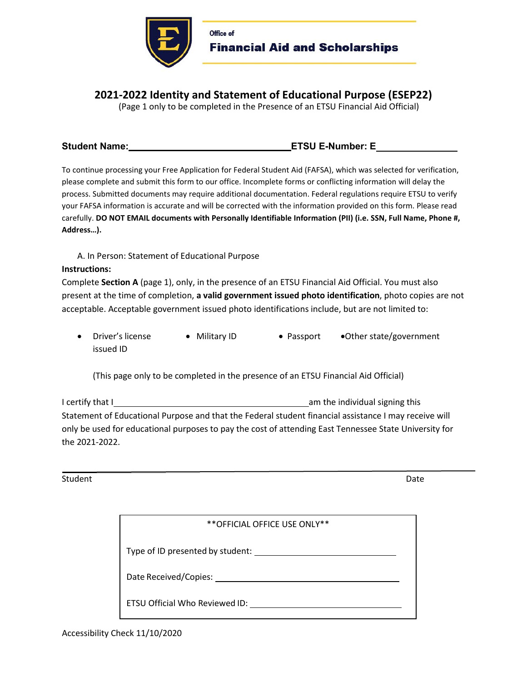

Office of Financial Aid and Scholarships

# **2021-2022 Identity and Statement of Educational Purpose (ESEP22)**

(Page 1 only to be completed in the Presence of an ETSU Financial Aid Official)

### Student Name: ENDIA CONSERVIATION CONTINUES AND LOCAL EVALUATE CONSERVATION CONTINUES AND LOCAL EXAMPLE TO A LO

To continue processing your Free Application for Federal Student Aid (FAFSA), which was selected for verification, please complete and submit this form to our office. Incomplete forms or conflicting information will delay the process. Submitted documents may require additional documentation. Federal regulations require ETSU to verify your FAFSA information is accurate and will be corrected with the information provided on this form. Please read carefully. **DO NOT EMAIL documents with Personally Identifiable Information (PII) (i.e. SSN, Full Name, Phone #, Address…).** 

A. In Person: Statement of Educational Purpose

### **Instructions:**

Complete **Section A** (page 1), only, in the presence of an ETSU Financial Aid Official. You must also present at the time of completion, **a valid government issued photo identification**, photo copies are not acceptable. Acceptable government issued photo identifications include, but are not limited to:

• Driver's license • Military ID • Passport • Other state/government issued ID

(This page only to be completed in the presence of an ETSU Financial Aid Official)

I certify that I am the individual signing this individual signing this Statement of Educational Purpose and that the Federal student financial assistance I may receive will only be used for educational purposes to pay the cost of attending East Tennessee State University for the 2021-2022.

Student Date **Date** 

| ** OFFICIAL OFFICE USE ONLY**    |  |
|----------------------------------|--|
| Type of ID presented by student: |  |
| Date Received/Copies:            |  |
| ETSU Official Who Reviewed ID:   |  |